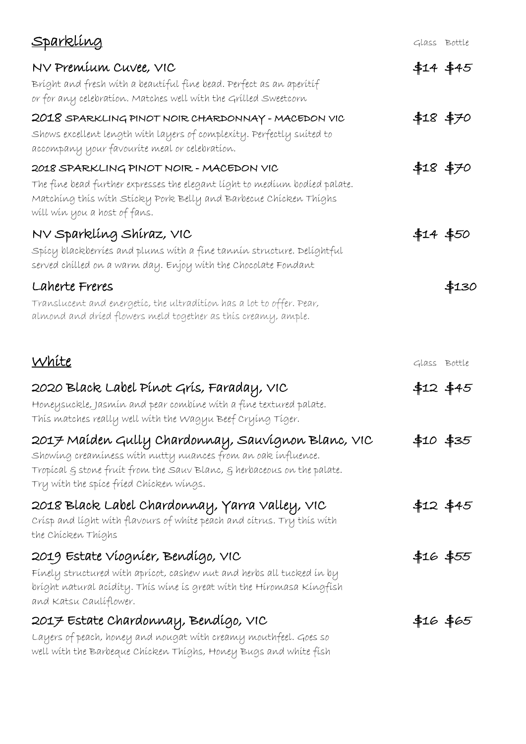| <u>Sparkling</u>                                                                                                                                                                                                                         | Glass Bottle |                  |
|------------------------------------------------------------------------------------------------------------------------------------------------------------------------------------------------------------------------------------------|--------------|------------------|
| NV Premíum Cuvee, VIC<br>Bríght and fresh with a beautiful fine bead. Perfect as an aperitif<br>or for any celebration. Matches well with the Grilled Sweetcorn                                                                          |              | \$14 \$45        |
| 2018 SPARKLING PINOT NOIR CHARDONNAY - MACEDON VIC<br>Shows excellent length with layers of complexity. Perfectly suited to<br>accompany your favourite meal or celebration.                                                             |              | \$18 \$70        |
| 2018 SPARKLING PINOT NOIR - MACEDON VIC<br>The fine bead further expresses the elegant light to medium bodied palate.<br>Matching this with Sticky Pork Belly and Barbecue Chicken Thighs<br>will win you a host of fans.                | \$18 \$70    |                  |
| NV Sparklíng Shíraz, VIC<br>Spícy blackberríes and plums with a fine tannin structure. Delightful<br>served chilled on a warm day. Enjoy with the Chocolate Fondant                                                                      | \$14 \$50    |                  |
| Laherte Freres<br>Translucent and energetic, the ultradition has a lot to offer. Pear,<br>almond and dried flowers meld together as this creamy, ample.                                                                                  |              | \$130            |
| White                                                                                                                                                                                                                                    | Glass Bottle |                  |
| 2020 Black Label Pínot Grís, Faraday, VIC<br>Honeysuckle, Jasmín and pear combíne with a fine textured palate.<br>This matches really well with the Wagyu Beef Crying Tiger.                                                             |              | \$12 \$45        |
| 2017 Maíden Gully Chardonnay, Sauvignon Blanc, VIC<br>Showing creaminess with nutty nuances from an oak influence.<br>Tropícal § stone fruít from the Sauv Blanc, § herbaceous on the palate.<br>Try with the spice fried Chicken wings. |              | \$10 \$35        |
| 2018 Black Label Chardonnay, Yarra Valley, VIC<br>Crísp and líght with flavours of white peach and citrus. Try this with<br>the Chicken Thighs                                                                                           |              | <b>\$12 \$45</b> |
| 2019 Estate Viognier, Bendigo, VIC<br>Finely structured with apricot, cashew nut and herbs all tucked in by<br>bríght natural acídíty. Thís wíne ís great wíth the Híromasa Kíngfísh<br>and Katsu Caulíflower.                           |              | \$16 \$55<br>}   |
| 2017 Estate Chardonnay, Bendígo, VIC<br>Layers of peach, honey and nougat with creamy mouthfeel. Goes so<br>well with the Barbeque Chicken Thighs, Honey Bugs and white fish                                                             |              | \$16 \$65        |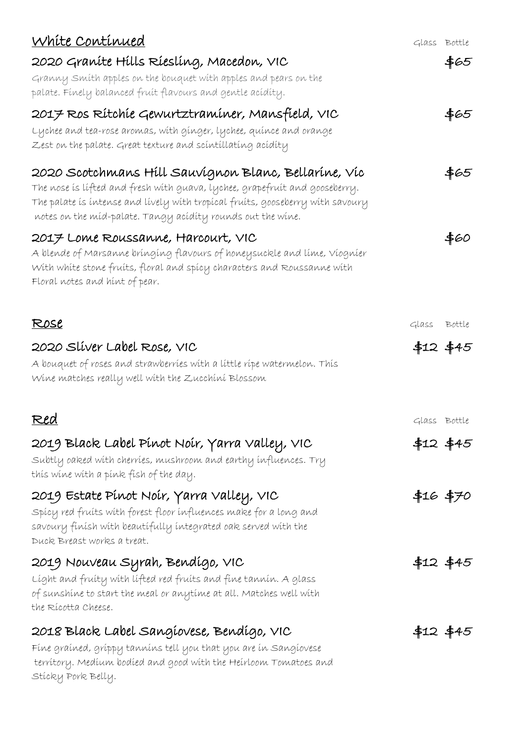| White Continued                                                                                                                                                                                                                                                                      | Glass Bottle |             |
|--------------------------------------------------------------------------------------------------------------------------------------------------------------------------------------------------------------------------------------------------------------------------------------|--------------|-------------|
| 2020 Graníte Hills Ríeslíng, Macedon, VIC                                                                                                                                                                                                                                            |              | \$65        |
| Granny Smith apples on the bouquet with apples and pears on the<br>palate. Finely balanced fruit flavours and gentle acidity.                                                                                                                                                        |              |             |
| 2017 Ros Rítchie Gewurtztraminer, Mansfield, VIC                                                                                                                                                                                                                                     |              | \$65        |
| Lychee and tea-rose aromas, with ginger, lychee, quince and orange<br>Zest on the palate. Great texture and scintillating acidity                                                                                                                                                    |              |             |
| 2020 Scotchmans Hill Sauvignon Blanc, Bellarine, Vic<br>The nose is lifted and fresh with guava, lychee, grapefruit and gooseberry.<br>The palate is intense and lively with tropical fruits, gooseberry with savoury<br>notes on the míd-palate. Tangy acídity rounds out the wine. |              | \$65        |
| 2017 Lome Roussanne, Harcourt, VIC<br>A blende of Marsanne bringing flavours of honeysuckle and lime, Viognier<br>With white stone fruits, floral and spicy characters and Roussanne with<br>Floral notes and hint of pear.                                                          |              | \$60        |
| <u>Rose</u>                                                                                                                                                                                                                                                                          | Glass Bottle |             |
| 2020 Sliver Label Rose, VIC<br>A bouquet of roses and strawberries with a little ripe watermelon. This<br>Wine matches really well with the Zucchini Blossom                                                                                                                         |              | \$12 \$45   |
| <u>Red</u>                                                                                                                                                                                                                                                                           | Glass Bottle |             |
| 2019 Black Label Pínot Noír, Yarra Valley, VIC<br>Subtly oaked with cherries, mushroom and earthy influences. Try<br>thís wíne wíth a pínk físh of the day.                                                                                                                          |              | \$12 \$45   |
| 2019 Estate Pínot Noír, Yarra Valley, VIC<br>Spícy red fruíts with forest floor influences make for a long and<br>savoury finish with beautifully integrated oak served with the<br>Duck Breast works a treat.                                                                       | \$16 \$70    |             |
| 2019 Nouveau Syrah, Bendígo, VIC<br>Líght and fruity with lifted red fruits and fine tannin. A glass<br>of sunshine to start the meal or anytime at all. Matches well with<br>the Rícotta Cheese.                                                                                    |              | $$12$ $$45$ |
| 2018 Black Label Sangíovese, Bendígo, VIC                                                                                                                                                                                                                                            |              | $$12$ $$45$ |
| Fíne graíned, gríppy tanníns tell you that you are ín Sangíovese<br>territory. Medium bodied and good with the Heirloom Tomatoes and<br>Sticky Pork Belly.                                                                                                                           |              |             |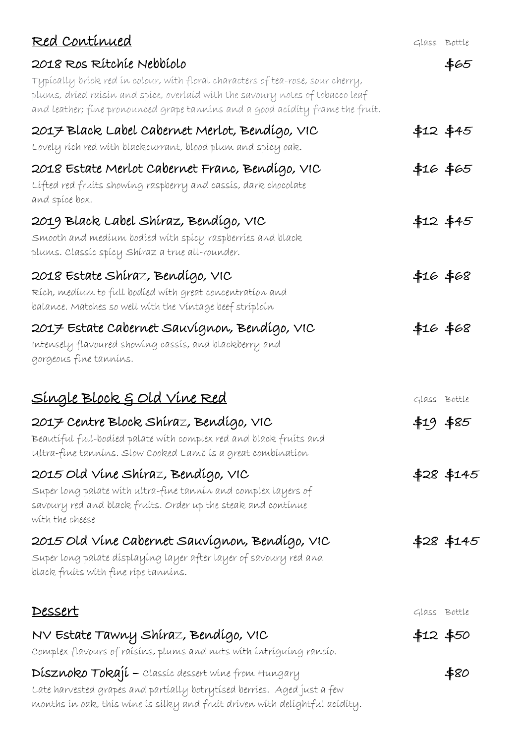| <u>Red Continued</u>                                                                                                                                                                                                                                | Glass Bottle |            |
|-----------------------------------------------------------------------------------------------------------------------------------------------------------------------------------------------------------------------------------------------------|--------------|------------|
| 2018 Ros Rítchíe Nebbíolo                                                                                                                                                                                                                           |              | \$65       |
| Typically brick red in colour, with floral characters of tea-rose, sour cherry,<br>plums, dríed raísín and spíce, overlaíd with the savoury notes of tobacco leaf<br>and leather; fine pronounced grape tannins and a good acidity frame the fruit. |              |            |
| 2017 Black Label Cabernet Merlot, Bendígo, VIC                                                                                                                                                                                                      |              | \$12 \$45  |
| Lovely rích red with blackcurrant, blood plum and spícy oak.                                                                                                                                                                                        |              |            |
| 2018 Estate Merlot Cabernet Franc, Bendígo, VIC<br>Lífted red fruits showing raspberry and cassis, dark chocolate<br>and spice box.                                                                                                                 |              | \$16 \$65  |
| 2019 Black Label Shíraz, Bendígo, VIC<br>Smooth and medíum bodíed with spicy raspberries and black<br>plums. Classíc spícy Shíraz a true all-rounder.                                                                                               |              | $$12$ \$45 |
| 2018 Estate Shíraz, Bendígo, VIC<br>Rích, medíum to full bodíed with great concentration and<br>balance. Matches so well with the Vintage beef striploin                                                                                            | \$16 \$68    |            |
| 2017 Estate Cabernet Sauvignon, Bendigo, VIC<br>Intensely flavoured showing cassis, and blackberry and<br>gorgeous fine tannins.                                                                                                                    | \$16 \$68    |            |
| <u>Single Block &amp; Old Vine Red</u>                                                                                                                                                                                                              | Glass Bottle |            |
| 2017 Centre Block Shíraz, Bendígo, VIC<br>Beautiful full-bodied palate with complex red and black fruits and<br>ultra-fine tannins. Slow Cooked Lamb is a great combination                                                                         | \$19 \$85    |            |
| 2015 Old Vine Shíraz, Bendígo, VIC<br>Super long palate with ultra-fine tannin and complex layers of                                                                                                                                                |              | \$28 \$145 |
| savoury red and black fruits. Order up the steak and continue<br>with the cheese                                                                                                                                                                    |              |            |
| 2015 Old Vine Cabernet Sauvignon, Bendigo, VIC<br>Super long palate dísplayíng layer after layer of savoury red and<br>black fruits with fine ripe tannins.                                                                                         |              | \$28 \$145 |
| <u>Dessert</u>                                                                                                                                                                                                                                      | Glass Bottle |            |
| NV Estate Tawny Shíraz, Bendígo, VIC<br>Complex flavours of raísins, plums and nuts with intriguing rancio.                                                                                                                                         | \$12 \$50    |            |
| Dísznoko Tokají – classic dessert wine from Hungary<br>Late harvested grapes and partially botrytised berries. Aged just a few<br>months in oak, this wine is silky and fruit driven with delightful acidity.                                       |              | \$80       |